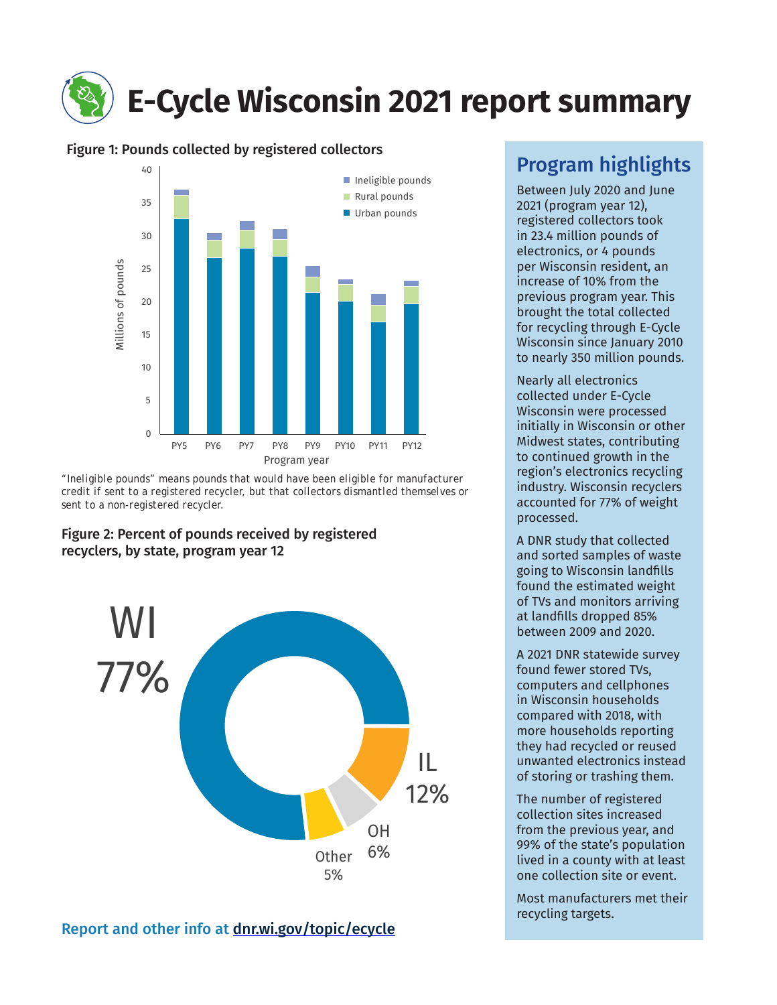# **E-Cycle Wisconsin 2021 report summary**

# Figure 1: Pounds collected by registered collectors



*"Ineligible pounds" means pounds that would have been eligible for manufacturer credit if sent to a registered recycler, but that collectors dismantled themselves or sent to a non-registered recycler.*

## Figure 2: Percent of pounds received by registered recyclers, by state, program year 12



# Program highlights

Between July 2020 and June 2021 (program year 12), registered collectors took in 23.4 million pounds of electronics, or 4 pounds per Wisconsin resident, an increase of 10% from the previous program year. This brought the total collected for recycling through E-Cycle Wisconsin since January 2010 to nearly 350 million pounds.

Nearly all electronics collected under E-Cycle Wisconsin were processed initially in Wisconsin or other Midwest states, contributing to continued growth in the region's electronics recycling industry. Wisconsin recyclers accounted for 77% of weight processed.

A DNR study that collected and sorted samples of waste going to Wisconsin landfills found the estimated weight of TVs and monitors arriving at landfills dropped 85% between 2009 and 2020.

A 2021 DNR statewide survey found fewer stored TVs, computers and cellphones in Wisconsin households compared with 2018, with more households reporting they had recycled or reused unwanted electronics instead of storing or trashing them.

The number of registered collection sites increased from the previous year, and 99% of the state's population lived in a county with at least one collection site or event.

Most manufacturers met their recycling targets.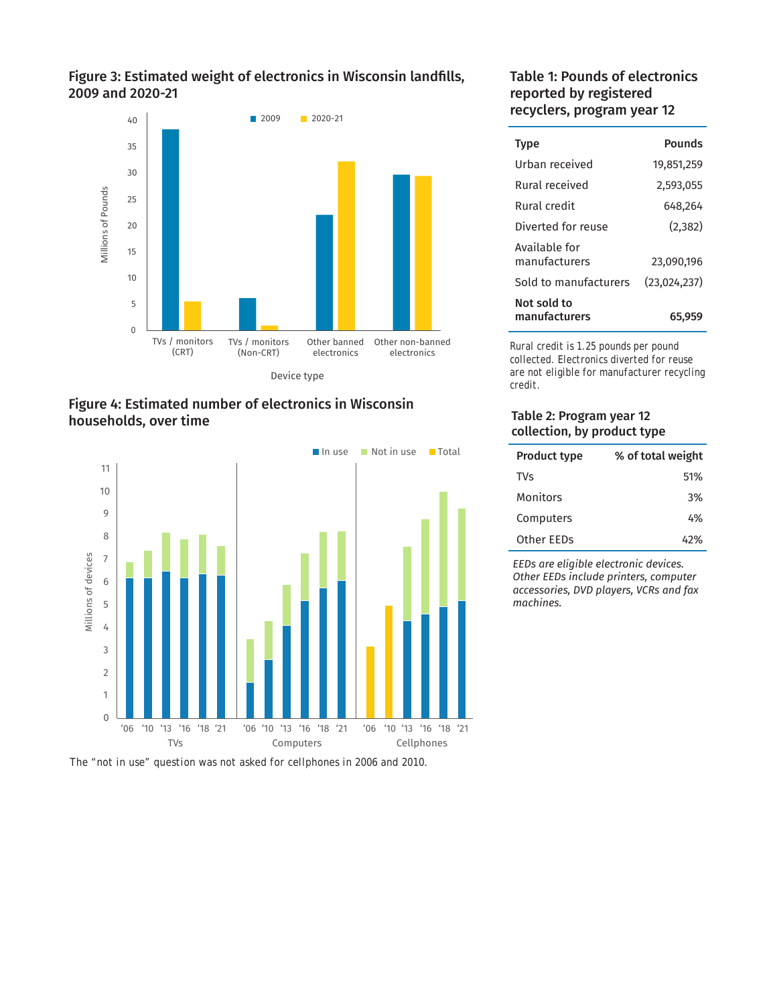## Figure 3: Estimated weight of electronics in Wisconsin landfills, 2009 and 2020-21







*The "not in use" question was not asked for cellphones in 2006 and 2010.*

## Table 1: Pounds of electronics reported by registered recyclers, program year 12

| <b>Type</b>                    | Pounds       |
|--------------------------------|--------------|
| Urban received                 | 19,851,259   |
| Rural received                 | 2,593,055    |
| Rural credit                   | 648,264      |
| Diverted for reuse             | (2,382)      |
| Available for<br>manufacturers | 23,090,196   |
| Sold to manufacturers          | (23,024,237) |
| Not sold to<br>manufacturers   | 65,959       |

*Rural credit is 1.25 pounds per pound collected. Electronics diverted for reuse are not eligible for manufacturer recycling credit.*

#### Table 2: Program year 12 collection, by product type

| <b>Product type</b> | % of total weight |
|---------------------|-------------------|
| <b>TVs</b>          | 51%               |
| Monitors            | 3%                |
| Computers           | 4%                |
| Other EEDs          | 42%               |

*EEDs are eligible electronic devices. Other EEDs include printers, computer accessories, DVD players, VCRs and fax machines.*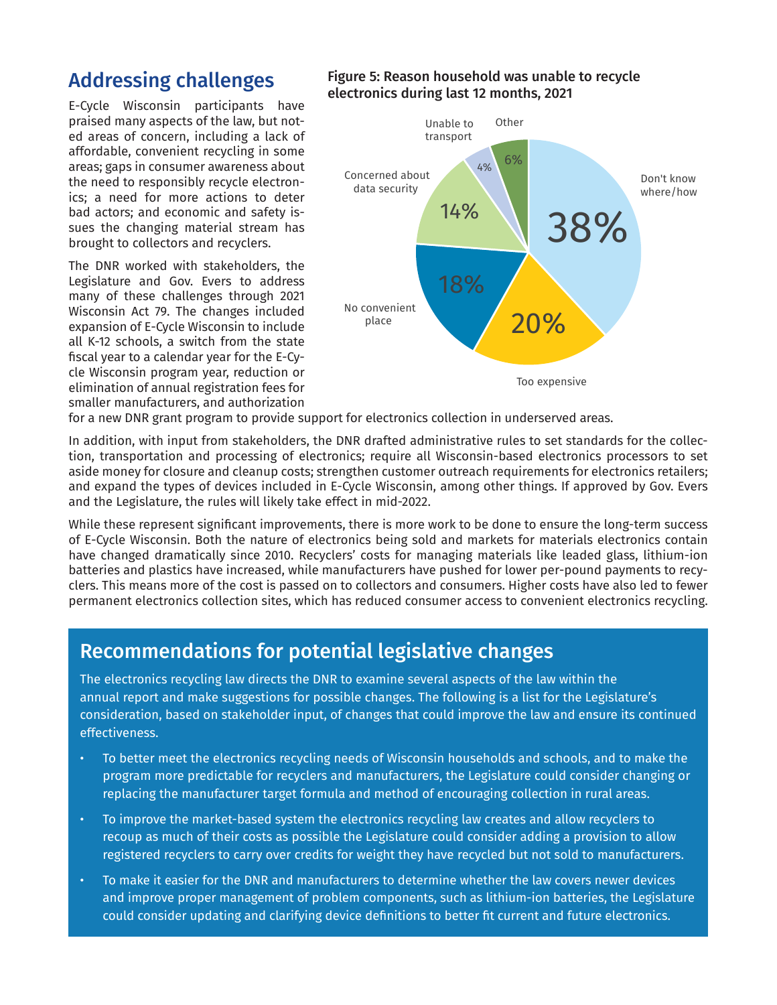# Addressing challenges

E-Cycle Wisconsin participants have praised many aspects of the law, but noted areas of concern, including a lack of affordable, convenient recycling in some areas; gaps in consumer awareness about the need to responsibly recycle electronics; a need for more actions to deter bad actors; and economic and safety issues the changing material stream has brought to collectors and recyclers.

The DNR worked with stakeholders, the Legislature and Gov. Evers to address many of these challenges through 2021 Wisconsin Act 79. The changes included expansion of E-Cycle Wisconsin to include all K-12 schools, a switch from the state fiscal year to a calendar year for the E-Cycle Wisconsin program year, reduction or elimination of annual registration fees for smaller manufacturers, and authorization

## Figure 5: Reason household was unable to recycle electronics during last 12 months, 2021



for a new DNR grant program to provide support for electronics collection in underserved areas.

In addition, with input from stakeholders, the DNR drafted administrative rules to set standards for the collection, transportation and processing of electronics; require all Wisconsin-based electronics processors to set aside money for closure and cleanup costs; strengthen customer outreach requirements for electronics retailers; and expand the types of devices included in E-Cycle Wisconsin, among other things. If approved by Gov. Evers and the Legislature, the rules will likely take effect in mid-2022.

While these represent significant improvements, there is more work to be done to ensure the long-term success of E-Cycle Wisconsin. Both the nature of electronics being sold and markets for materials electronics contain have changed dramatically since 2010. Recyclers' costs for managing materials like leaded glass, lithium-ion batteries and plastics have increased, while manufacturers have pushed for lower per-pound payments to recyclers. This means more of the cost is passed on to collectors and consumers. Higher costs have also led to fewer permanent electronics collection sites, which has reduced consumer access to convenient electronics recycling.

# Recommendations for potential legislative changes

The electronics recycling law directs the DNR to examine several aspects of the law within the annual report and make suggestions for possible changes. The following is a list for the Legislature's consideration, based on stakeholder input, of changes that could improve the law and ensure its continued effectiveness.

- To better meet the electronics recycling needs of Wisconsin households and schools, and to make the program more predictable for recyclers and manufacturers, the Legislature could consider changing or replacing the manufacturer target formula and method of encouraging collection in rural areas.
- To improve the market-based system the electronics recycling law creates and allow recyclers to recoup as much of their costs as possible the Legislature could consider adding a provision to allow registered recyclers to carry over credits for weight they have recycled but not sold to manufacturers.
- To make it easier for the DNR and manufacturers to determine whether the law covers newer devices and improve proper management of problem components, such as lithium-ion batteries, the Legislature could consider updating and clarifying device definitions to better fit current and future electronics.